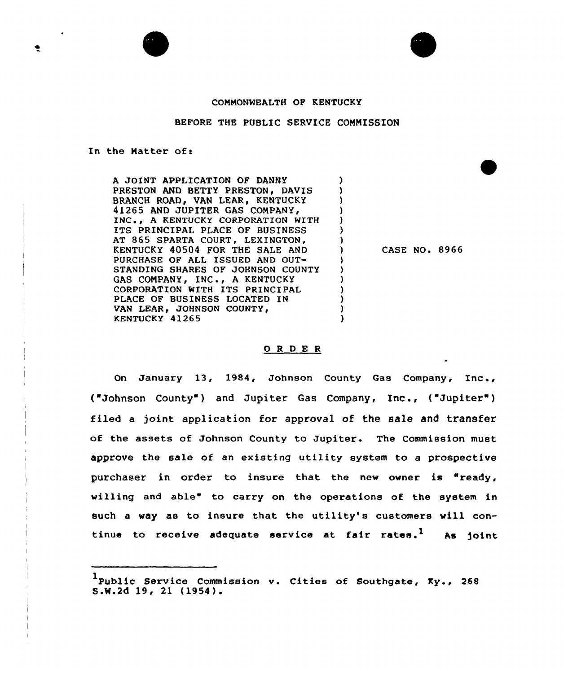

## BEFORE THE PUBLIC SERVICE COMMISSION

## In the Matter of:

A JOINT APPLICATION OF DANNY PRESTON AND BETTY PRESTON, DAVIS BRANCH ROAD, VAN LEAR, KENTUCKY 41265 AND JUPITER GAS COMPANY, INC., A KENTUCKY CORPORATION WITH ITS PRINCIPAL PLACE OF BUSINESS AT 865 SPARTA COURT, LEXINGTON, KENTUCKY 40504 FOR THE SALE AND PURCHASE OF ALL ISSUED AND OUT-STANDING SHARES OF JOHNSON COUNTY GAS COMPANY, INC., A KENTUCKY CORPORATION WITH ITS PRINCIPAL PLACE OF BUSINESS LOCATED IN VAN LEAR, JOHNSON COUNTY, KENTUCKY 41265

CASE NO. 8966

## ORDER

 $\lambda$ Ĵ. A

On January 13, 1984, Johnson County Gas Company, Xnc., ("Johnson County") and Jupiter Gas Company, Inc., ("Jupiter") filed a joint application for approval of the sale and transfer of the assets of Johnson County to Jupiter. The Commission must approve the sale of an existing utility system to <sup>a</sup> prospective purchaser in order to insure that the new owner is "ready, willing and able" to carry on the operations of the system in such <sup>a</sup> way as to insure that the utility's customers will continue to receive adequate service at fair rates.<sup>1</sup> As joint

<sup>&</sup>lt;sup>1</sup>Public Service Commission v. Cities of Southgate, Ky., 268<br>S.W.2d 19, 21 (1954).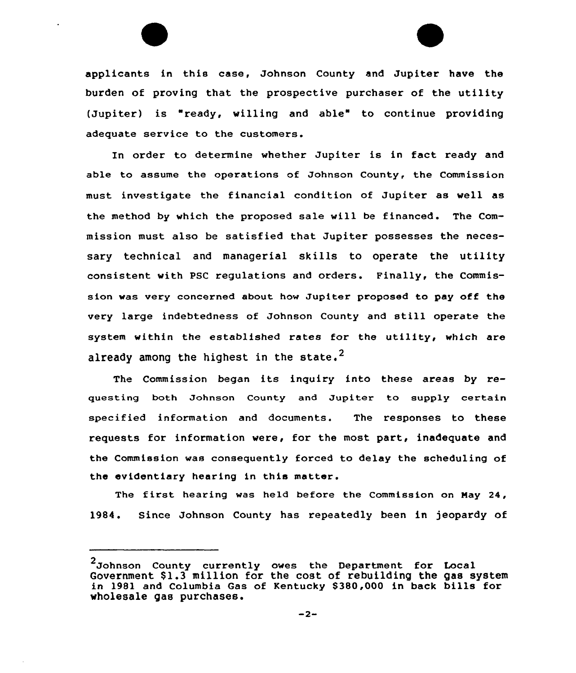applicants in this case, Johnson County and Jupiter have the burden of proving that the prospective purchaser of the utility (Jupiter) is "ready, willing and able" to continue providing adequate service to the customers.

In order to determine whether Jupiter is in fact ready and able to assume the operations of Johnson County, the Commission must investigate the financial condition of Jupiter as well as the method by which the proposed sale will be financed. The Commission must also be satisfied that Jupiter possesses the necessary technical and managerial skills to operate the utility consistent vith PSC regulations and orders. Finally, the Commission was very cancerned about how Jupiter proposed to pay off the very large indebtedness of Johnson County and still operate the system vithin the established rates for the utility, which are already among the highest in the state.<sup>2</sup>

The Commission began its inquiry into these areas by requesting both Johnson County and Jupiter to supply certain specified information and documents. The responses to these requests for information vere, for the most part, inadequate and the Commission was consequently forced to delay the scheduling of the evidentiary hearing in this matter.

The first hearing was held before the Commission on May 24, 1984. Since Johnson County has repeatedly been in jeopardy of

<sup>2</sup> Johnson County currently owes the Department for Local Government \$1.3 million for the cost of rebuilding the gas system in 1981 and Columbia Gas of Kentucky \$ 380,000 in back bills for vholesale gas purchases.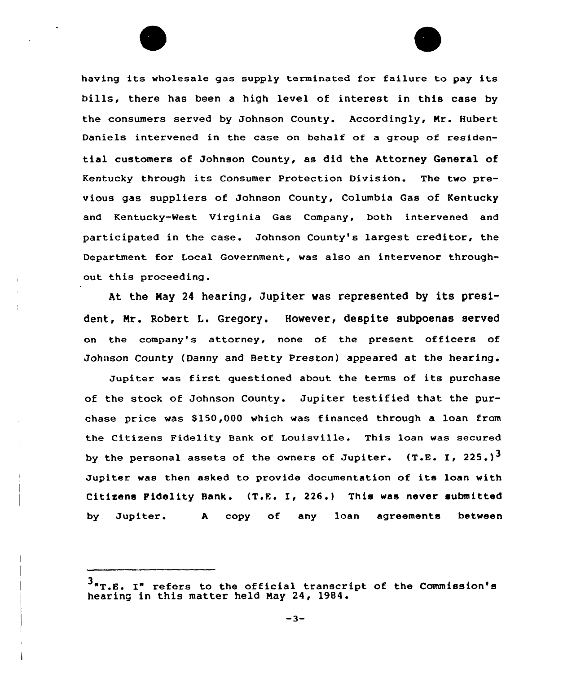having its wholesale gas supply terminated for failure to pay its bills, there has been a high level of interest in this case by the consumers served by Johnson County. Accordingly, Mr. Hubert Daniels intervened in the case on behalf of a group of residential customers of Johnson County, as did the Attorney General of Kentucky through its Consumer Protection Division. The two previous gas suppliers of Johnson County, Columbia Gas of Kentucky and Kentucky-Nest Virginia Gas Company, both intervened and participated in the case. Johnson County's largest creditor, the Department for Local Government, was also an intervenor throughout this proceeding.

At the May <sup>24</sup> hearing, Jupiter was represented by its president, Nr. Robert L. Gregory. However, despite subpoenas served on the company's attorney, none of the present officers of Johnson County (Danny and Betty Preston) appeared at the hearing.

Jupiter was first questioned about the terms of its purchase of the stock of Johnson County. Jupiter testified that the purchase price was S15Q,OOO which was financed through a loan from the Citizens Fidelity Bank of Louisville. This loan was secured by the personal assets of the owners of Jupiter.  $\,$  (T.E. I, 225.) $^3$ Jupiter was then asked to provide documentation of its loan with Citizens Fidelity Bank. (T.E. I, 226.) This was never submitted by Jupiter. A copy of any loan agreements betwee

 $-3-$ 

 $3_{\texttt{mT.E.}}$  I" refers to the official transcript of the Commission's hearing in this matter held Nay 24, 1984.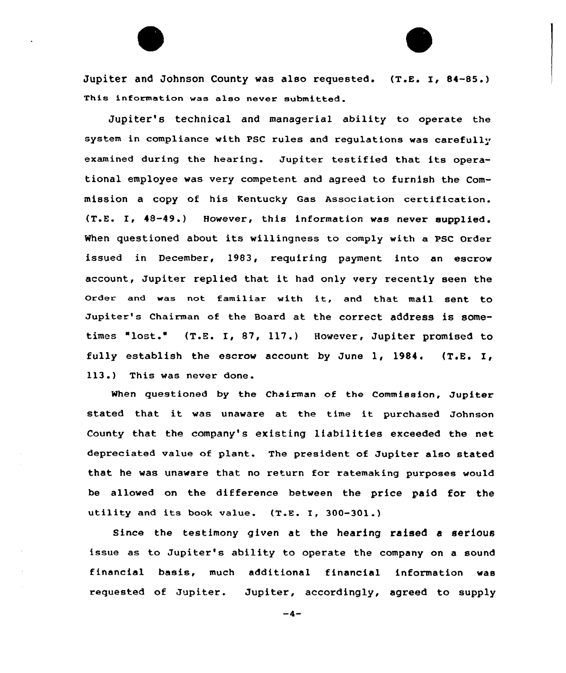Jupiter and Johnson County was also requested.  $(T.E. I, 84-85.)$ This information was also never submitted.

Jupiter's technical and managerial ability to operate the system in compliance with PSC rules and regulations was carefully examined during the hearing. Jupiter testified that its operational employee was very competent and agreed to furnish the Commission a copy of his Kentucky Gas Association certification. (T.E. I, 48-49.) However, this information was never supplied. When questioned about its willingness to comply with a PSC Order issued in December, 1983, requiring payment into an escrow account, Jupiter xeplied that it had only very recently seen the Order and was not familiar with it, and that mail sent to Jupiter's Chairman of the Board at the correct address is sometimes "lost." (T.E. I, 87, 117.) However, Jupiter promised to fully establish the escrow account by June 1, 1984, (T.E. I, 113.) This was never done.

When questioned by the Chairman of the Commission, Jupiter stated that it was unaware at the time it purchased Johnson County that the company's existing liabilities exceeded the net depreciated value of plant. The president of Jupiter also stated that he was unaware that no return for ratemaking purposes would be allowed on the difference between the price paid for the utility and its hook value. (T.E. I, 300-301.)

Since the testimony given at the hearing raised a serious issue as to Jupiter's ability to operate the company on a sound financial basis, much additional financial information was requested of Jupiter. Jupiter, accordingly, agreed to supply

 $-4-$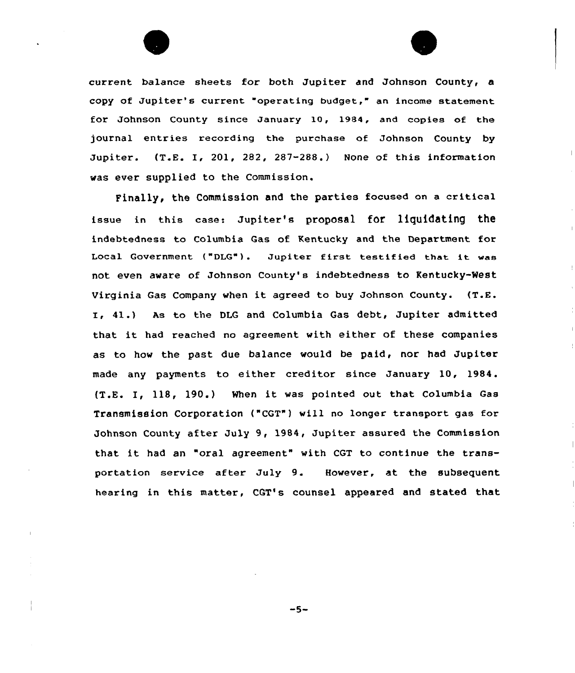

current balance sheets for both Jupiter and Johnson County, a copy of Jupiter's current "operating budget," an income statement for Johnson County since January 10, 1984, and copies of the journal entries recording the purchase of Johnson County by Jupiter. (T.E. I, 201, 282, 287-288.) None of this information was ever supplied to the Commission.

Finally, the Commission and the parties focused on a critical issue in this case: Jupiter's proposal for liquidating the indebtedness to Columbia Gas of Kentucky and the Department for Local Government ("DLG"). Jupiter first testified that it was not even aware of Johnson County's indebtedness to Kentucky-West Virginia Gas Company when it agreed to buy Johnson County. (T.E. I. 41.) As to the DLG and Columbia Gas debt, Jupiter admitted that it. had reached no agreement with either of these companies as to how the past due balance would be paid, nor had Jupiter made any payments to either creditor since January 10, 1984. (T.E. I, 118, 190.) When it was pointed out that Columbia Gas Transmission Corporation ("CGT") will no longer transport gas for Johnson County after July 9, 1984, Jupiter assured the Commission that it had an "oral agreement" with CGT to continue the transportation service after July 9. However, at the subsequent hearing in this matter, CGT's counsel appeared and stated that

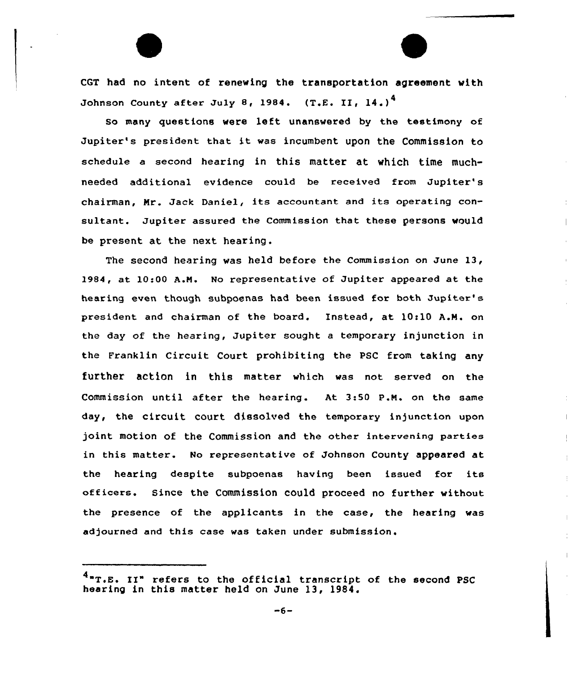CGT had no intent of renewing the transportation agreement with Johnson County after July 8, 1984. (T.E. II, 14.)<sup>4</sup>

so many questions were left unanswered by the testimony of Jupiter's president that it was incumbent upon the Commission to schedule a second hearing in this matter at which time muchneeded additional evidence could be received from Jupiter's chairman, Nr. Jack Daniel, its accountant and its operating consultant. Jupiter assured the Commission that these persons would be present at the next hearing.

The second hearing was held before the Commission on June 13, 1984, at 10:00 A.N. No representative of Jupitex appeared at the hearing even though subpoenas had been issued for both Jupitex' pxesident and chairman of the board. Instead, at 10:10 A.N. on the day of the hearing, Jupiter sought a temporary injunction in the Franklin Circuit Court prohibiting the PSC from taking any further action in this matter which was not served on the Commission until after the hearing. At 3:50 p.N. on the same day, the circuit court dissolved the tempoxary injunction upon joint motion of the Commission and the other intervening parties in this matter. No representative of Johnson County appeared at the hearing despite subpoenas having been issued for its officers. Since the Commission could proceed no further without the presence of the applicants in the case, the hearing was adjourned and this case was taken under submission.

<sup>&</sup>lt;sup>4</sup>"T.E. II" refers to the official transcript of the second PSC hearing in this matter held on June 13, 1984.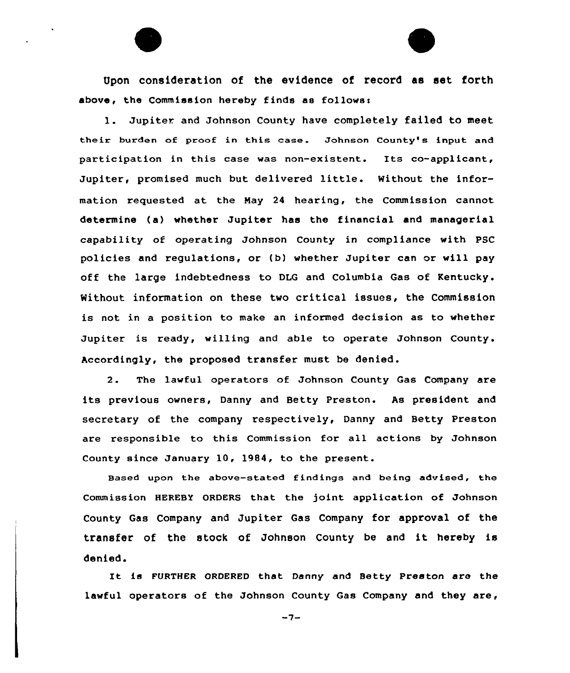Upon consideration of the evidence of record as set forth above, the Commission hereby finds as follows'.

1. Jupiter and Johnson County have completely failed to meet their burden of proof in this case. Johnson County's input and participation in this case was non-existent. Its co-applicant, Jupiter, promised much but delivered little. Without the information requested at the Nay 24 hearing, the Commission cannot determine (a) whether Jupiter has the financial and managerial capability of operating Johnson County in compliance with PSC policies and regulations, or (b) whether Jupiter can or will pay off the large indebtedness to DLG and Columbia Gas of Kentucky. Without information on these two critical issues, the Commission is not in a position to make an informed decision as to whether Jupiter is ready, willing and able to operate Johnson County. Accordingly, the proposed transfer must be denied.

2. The lawful operators of Johnson County Gas Company are its previous owners, Danny and Betty Preston. As president and secretary of the company respectively, Danny and Betty Preston are responsible to this Commission for all actions by Johnson County since January 10, 1984, to the present.

Based upon the above-stated findings and being advised, the Commission HEREBY ORDERS that the joint application of Johnson County Gas Company and Jupiter Gas Company for approval of the transfer of the stock of Johnson County be and it hereby is denied.

It is FURTHER ORDERED that Danny and Betty Preston are the lawful operators of the Johnson County Gas Company and they are,

 $-7-$